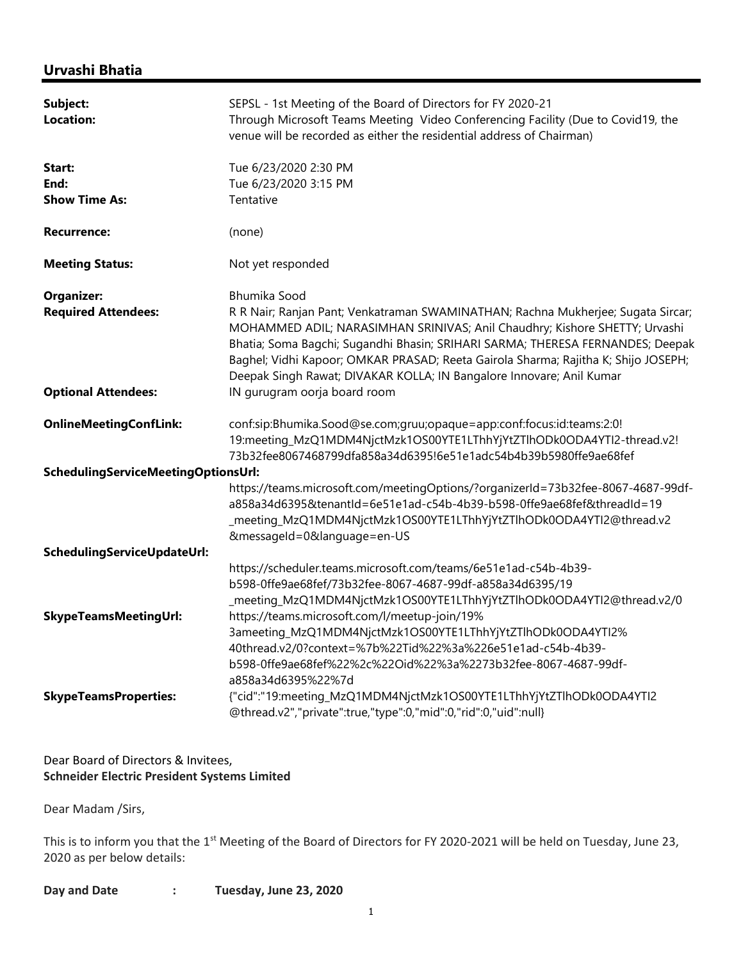## Urvashi Bhatia

| Subject:<br>Location:                  | SEPSL - 1st Meeting of the Board of Directors for FY 2020-21<br>Through Microsoft Teams Meeting Video Conferencing Facility (Due to Covid19, the<br>venue will be recorded as either the residential address of Chairman)                                                                                                                                                                                      |  |  |
|----------------------------------------|----------------------------------------------------------------------------------------------------------------------------------------------------------------------------------------------------------------------------------------------------------------------------------------------------------------------------------------------------------------------------------------------------------------|--|--|
| Start:<br>End:<br><b>Show Time As:</b> | Tue 6/23/2020 2:30 PM<br>Tue 6/23/2020 3:15 PM<br>Tentative                                                                                                                                                                                                                                                                                                                                                    |  |  |
| <b>Recurrence:</b>                     | (none)                                                                                                                                                                                                                                                                                                                                                                                                         |  |  |
| <b>Meeting Status:</b>                 | Not yet responded                                                                                                                                                                                                                                                                                                                                                                                              |  |  |
| <b>Organizer:</b>                      | <b>Bhumika Sood</b>                                                                                                                                                                                                                                                                                                                                                                                            |  |  |
| <b>Required Attendees:</b>             | R R Nair; Ranjan Pant; Venkatraman SWAMINATHAN; Rachna Mukherjee; Sugata Sircar;<br>MOHAMMED ADIL; NARASIMHAN SRINIVAS; Anil Chaudhry; Kishore SHETTY; Urvashi<br>Bhatia; Soma Bagchi; Sugandhi Bhasin; SRIHARI SARMA; THERESA FERNANDES; Deepak<br>Baghel; Vidhi Kapoor; OMKAR PRASAD; Reeta Gairola Sharma; Rajitha K; Shijo JOSEPH;<br>Deepak Singh Rawat; DIVAKAR KOLLA; IN Bangalore Innovare; Anil Kumar |  |  |
| <b>Optional Attendees:</b>             | IN gurugram oorja board room                                                                                                                                                                                                                                                                                                                                                                                   |  |  |
| <b>OnlineMeetingConfLink:</b>          | conf:sip:Bhumika.Sood@se.com;gruu;opaque=app:conf:focus:id:teams:2:0!<br>19:meeting_MzQ1MDM4NjctMzk1OS00YTE1LThhYjYtZTlhODk0ODA4YTl2-thread.v2!<br>73b32fee8067468799dfa858a34d6395!6e51e1adc54b4b39b5980ffe9ae68fef                                                                                                                                                                                           |  |  |
| SchedulingServiceMeetingOptionsUrl:    |                                                                                                                                                                                                                                                                                                                                                                                                                |  |  |
|                                        | https://teams.microsoft.com/meetingOptions/?organizerId=73b32fee-8067-4687-99df-<br>a858a34d6395&tenantId=6e51e1ad-c54b-4b39-b598-0ffe9ae68fef&threadId=19<br>_meeting_MzQ1MDM4NjctMzk1OS00YTE1LThhYjYtZTlhODk0ODA4YTI2@thread.v2<br>&messageId=0&language=en-US                                                                                                                                               |  |  |
| SchedulingServiceUpdateUrl:            |                                                                                                                                                                                                                                                                                                                                                                                                                |  |  |
|                                        | https://scheduler.teams.microsoft.com/teams/6e51e1ad-c54b-4b39-<br>b598-0ffe9ae68fef/73b32fee-8067-4687-99df-a858a34d6395/19<br>_meeting_MzQ1MDM4NjctMzk1OS00YTE1LThhYjYtZTlhODk0ODA4YTl2@thread.v2/0                                                                                                                                                                                                          |  |  |
| <b>SkypeTeamsMeetingUrl:</b>           | https://teams.microsoft.com/l/meetup-join/19%<br>3ameeting_MzQ1MDM4NjctMzk1OS00YTE1LThhYjYtZTlhODk0ODA4YTl2%<br>40thread.v2/0?context=%7b%22Tid%22%3a%226e51e1ad-c54b-4b39-<br>b598-0ffe9ae68fef%22%2c%22Oid%22%3a%2273b32fee-8067-4687-99df-<br>a858a34d6395%22%7d                                                                                                                                            |  |  |
| <b>SkypeTeamsProperties:</b>           | {"cid":"19:meeting_MzQ1MDM4NjctMzk1OS00YTE1LThhYjYtZTlhODk0ODA4YTl2<br>@thread.v2","private":true,"type":0,"mid":0,"rid":0,"uid":null}                                                                                                                                                                                                                                                                         |  |  |

## Dear Board of Directors & Invitees, Schneider Electric President Systems Limited

Dear Madam /Sirs,

This is to inform you that the 1<sup>st</sup> Meeting of the Board of Directors for FY 2020-2021 will be held on Tuesday, June 23, 2020 as per below details:

| Day and Date |  | Tuesday, June 23, 2020 |
|--------------|--|------------------------|
|--------------|--|------------------------|